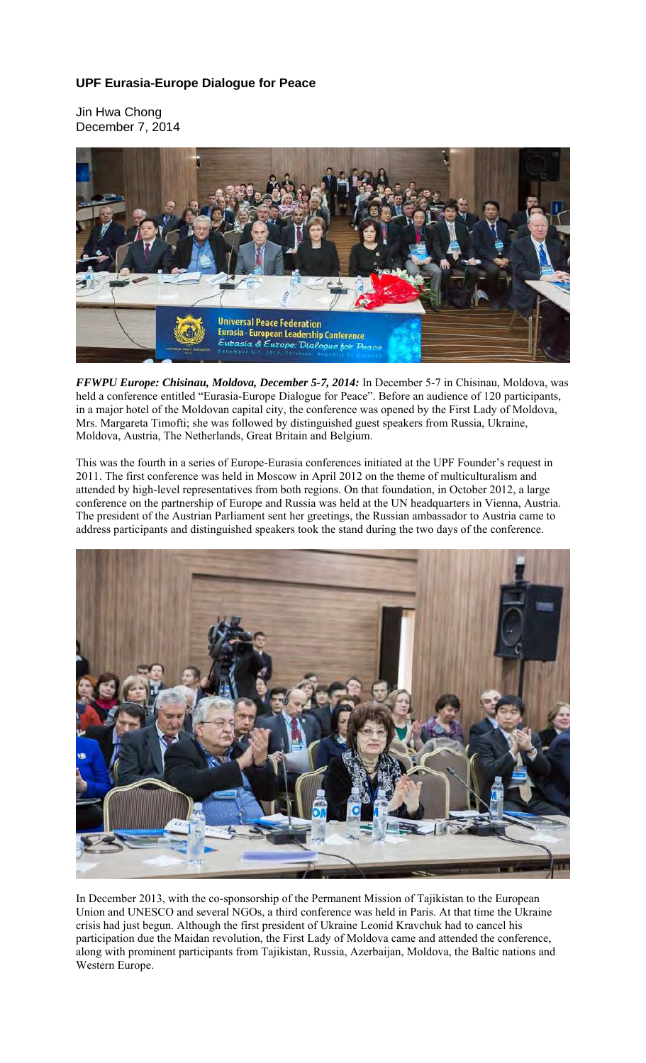## **UPF Eurasia-Europe Dialogue for Peace**

Jin Hwa Chong December 7, 2014



*FFWPU Europe: Chisinau, Moldova, December 5-7, 2014:* In December 5-7 in Chisinau, Moldova, was held a conference entitled "Eurasia-Europe Dialogue for Peace". Before an audience of 120 participants, in a major hotel of the Moldovan capital city, the conference was opened by the First Lady of Moldova, Mrs. Margareta Timofti; she was followed by distinguished guest speakers from Russia, Ukraine, Moldova, Austria, The Netherlands, Great Britain and Belgium.

This was the fourth in a series of Europe-Eurasia conferences initiated at the UPF Founder's request in 2011. The first conference was held in Moscow in April 2012 on the theme of multiculturalism and attended by high-level representatives from both regions. On that foundation, in October 2012, a large conference on the partnership of Europe and Russia was held at the UN headquarters in Vienna, Austria. The president of the Austrian Parliament sent her greetings, the Russian ambassador to Austria came to address participants and distinguished speakers took the stand during the two days of the conference.



In December 2013, with the co-sponsorship of the Permanent Mission of Tajikistan to the European Union and UNESCO and several NGOs, a third conference was held in Paris. At that time the Ukraine crisis had just begun. Although the first president of Ukraine Leonid Kravchuk had to cancel his participation due the Maidan revolution, the First Lady of Moldova came and attended the conference, along with prominent participants from Tajikistan, Russia, Azerbaijan, Moldova, the Baltic nations and Western Europe.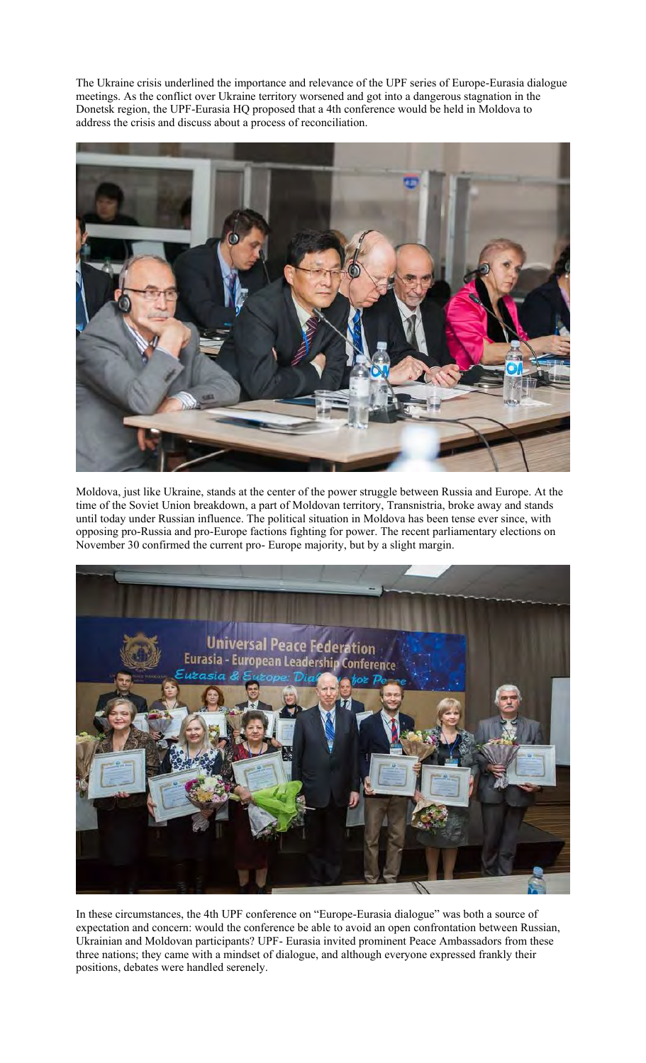The Ukraine crisis underlined the importance and relevance of the UPF series of Europe-Eurasia dialogue meetings. As the conflict over Ukraine territory worsened and got into a dangerous stagnation in the Donetsk region, the UPF-Eurasia HQ proposed that a 4th conference would be held in Moldova to address the crisis and discuss about a process of reconciliation.



Moldova, just like Ukraine, stands at the center of the power struggle between Russia and Europe. At the time of the Soviet Union breakdown, a part of Moldovan territory, Transnistria, broke away and stands until today under Russian influence. The political situation in Moldova has been tense ever since, with opposing pro-Russia and pro-Europe factions fighting for power. The recent parliamentary elections on November 30 confirmed the current pro- Europe majority, but by a slight margin.



In these circumstances, the 4th UPF conference on "Europe-Eurasia dialogue" was both a source of expectation and concern: would the conference be able to avoid an open confrontation between Russian, Ukrainian and Moldovan participants? UPF- Eurasia invited prominent Peace Ambassadors from these three nations; they came with a mindset of dialogue, and although everyone expressed frankly their positions, debates were handled serenely.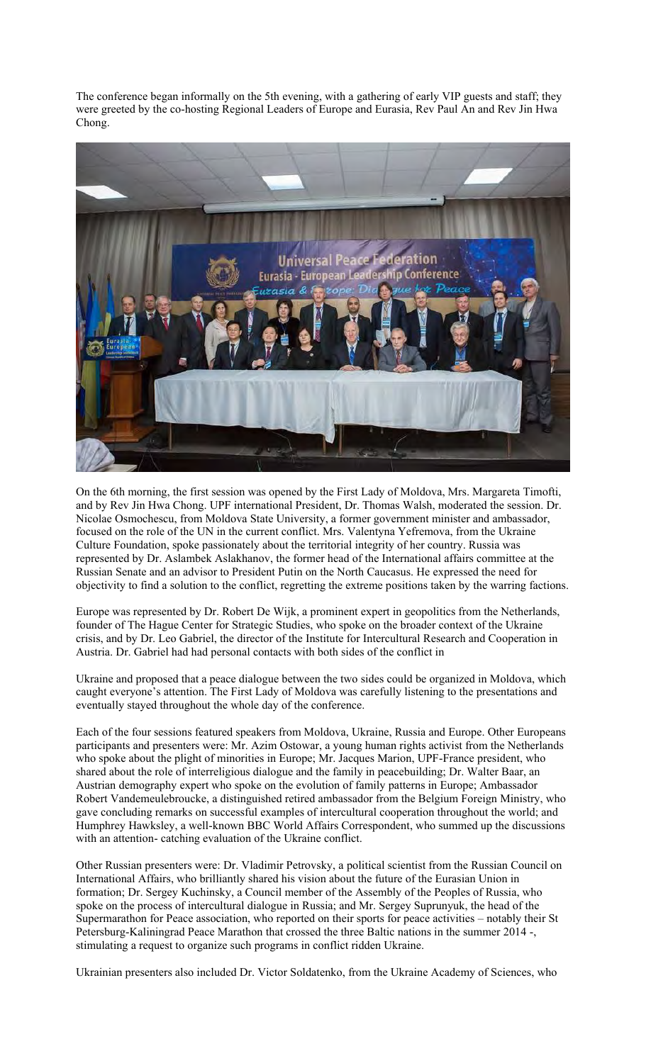The conference began informally on the 5th evening, with a gathering of early VIP guests and staff; they were greeted by the co-hosting Regional Leaders of Europe and Eurasia, Rev Paul An and Rev Jin Hwa Chong.



On the 6th morning, the first session was opened by the First Lady of Moldova, Mrs. Margareta Timofti, and by Rev Jin Hwa Chong. UPF international President, Dr. Thomas Walsh, moderated the session. Dr. Nicolae Osmochescu, from Moldova State University, a former government minister and ambassador, focused on the role of the UN in the current conflict. Mrs. Valentyna Yefremova, from the Ukraine Culture Foundation, spoke passionately about the territorial integrity of her country. Russia was represented by Dr. Aslambek Aslakhanov, the former head of the International affairs committee at the Russian Senate and an advisor to President Putin on the North Caucasus. He expressed the need for objectivity to find a solution to the conflict, regretting the extreme positions taken by the warring factions.

Europe was represented by Dr. Robert De Wijk, a prominent expert in geopolitics from the Netherlands, founder of The Hague Center for Strategic Studies, who spoke on the broader context of the Ukraine crisis, and by Dr. Leo Gabriel, the director of the Institute for Intercultural Research and Cooperation in Austria. Dr. Gabriel had had personal contacts with both sides of the conflict in

Ukraine and proposed that a peace dialogue between the two sides could be organized in Moldova, which caught everyone's attention. The First Lady of Moldova was carefully listening to the presentations and eventually stayed throughout the whole day of the conference.

Each of the four sessions featured speakers from Moldova, Ukraine, Russia and Europe. Other Europeans participants and presenters were: Mr. Azim Ostowar, a young human rights activist from the Netherlands who spoke about the plight of minorities in Europe; Mr. Jacques Marion, UPF-France president, who shared about the role of interreligious dialogue and the family in peacebuilding; Dr. Walter Baar, an Austrian demography expert who spoke on the evolution of family patterns in Europe; Ambassador Robert Vandemeulebroucke, a distinguished retired ambassador from the Belgium Foreign Ministry, who gave concluding remarks on successful examples of intercultural cooperation throughout the world; and Humphrey Hawksley, a well-known BBC World Affairs Correspondent, who summed up the discussions with an attention- catching evaluation of the Ukraine conflict.

Other Russian presenters were: Dr. Vladimir Petrovsky, a political scientist from the Russian Council on International Affairs, who brilliantly shared his vision about the future of the Eurasian Union in formation; Dr. Sergey Kuchinsky, a Council member of the Assembly of the Peoples of Russia, who spoke on the process of intercultural dialogue in Russia; and Mr. Sergey Suprunyuk, the head of the Supermarathon for Peace association, who reported on their sports for peace activities – notably their St Petersburg-Kaliningrad Peace Marathon that crossed the three Baltic nations in the summer 2014 -, stimulating a request to organize such programs in conflict ridden Ukraine.

Ukrainian presenters also included Dr. Victor Soldatenko, from the Ukraine Academy of Sciences, who